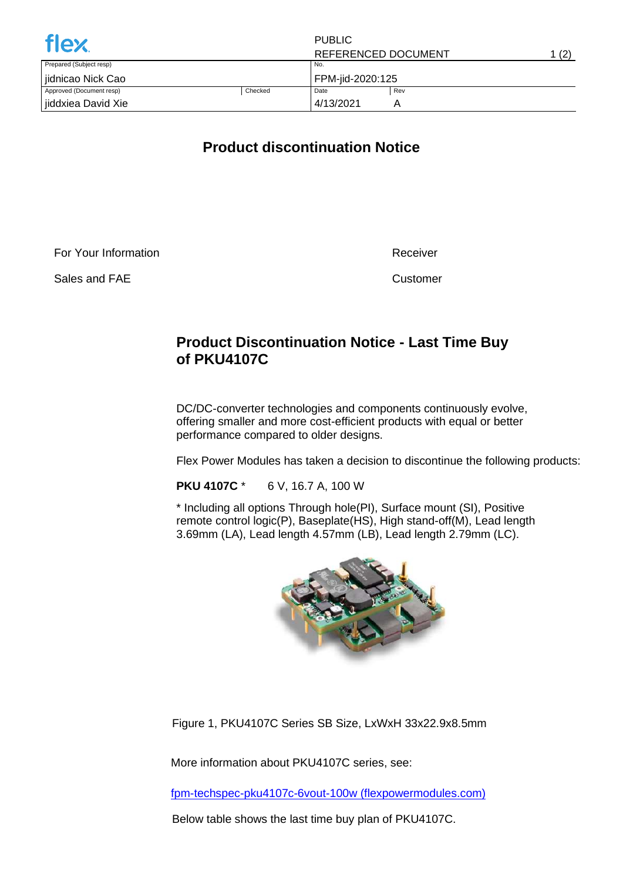| <b>flex</b>              |         | <b>PUBLIC</b>       |     |       |
|--------------------------|---------|---------------------|-----|-------|
|                          |         | REFERENCED DOCUMENT |     | 1 (2) |
| Prepared (Subject resp)  |         | No.                 |     |       |
| iidnicao Nick Cao        |         | FPM-jid-2020:125    |     |       |
| Approved (Document resp) | Checked | Date                | Rev |       |
| jiddxiea David Xie       |         | 4/13/2021           |     |       |

## **Product discontinuation Notice**

For Your Information

Sales and FAE

Receiver

Customer

## **Product Discontinuation Notice - Last Time Buy of PKU4107C**

DC/DC-converter technologies and components continuously evolve, offering smaller and more cost-efficient products with equal or better performance compared to older designs.

Flex Power Modules has taken a decision to discontinue the following products:

**PKU 4107C** \* 6 V, 16.7 A, 100 W

\* Including all options Through hole(PI), Surface mount (SI), Positive remote control logic(P), Baseplate(HS), High stand-off(M), Lead length 3.69mm (LA), Lead length 4.57mm (LB), Lead length 2.79mm (LC).



Figure 1, PKU4107C Series SB Size, LxWxH 33x22.9x8.5mm

More information about PKU4107C series, see:

[fpm-techspec-pku4107c-6vout-100w \(flexpowermodules.com\)](https://flexpowermodules.com/resources/fpm-techspec-pku4107c-6vout-100w)

Below table shows the last time buy plan of PKU4107C.